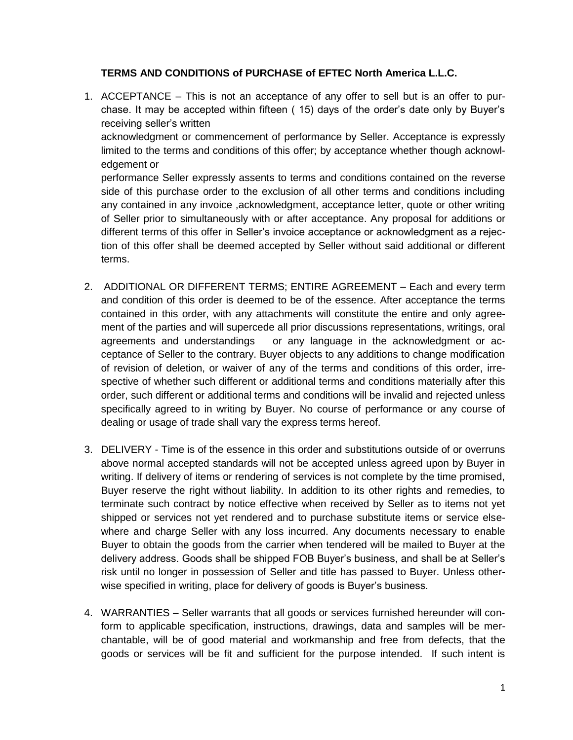## **TERMS AND CONDITIONS of PURCHASE of EFTEC North America L.L.C.**

1. ACCEPTANCE – This is not an acceptance of any offer to sell but is an offer to purchase. It may be accepted within fifteen ( 15) days of the order's date only by Buyer's receiving seller's written acknowledgment or commencement of performance by Seller. Acceptance is expressly limited to the terms and conditions of this offer; by acceptance whether though acknowledgement or performance Seller expressly assents to terms and conditions contained on the reverse

side of this purchase order to the exclusion of all other terms and conditions including any contained in any invoice ,acknowledgment, acceptance letter, quote or other writing of Seller prior to simultaneously with or after acceptance. Any proposal for additions or different terms of this offer in Seller's invoice acceptance or acknowledgment as a rejection of this offer shall be deemed accepted by Seller without said additional or different terms.

- 2. ADDITIONAL OR DIFFERENT TERMS; ENTIRE AGREEMENT Each and every term and condition of this order is deemed to be of the essence. After acceptance the terms contained in this order, with any attachments will constitute the entire and only agreement of the parties and will supercede all prior discussions representations, writings, oral agreements and understandings or any language in the acknowledgment or acceptance of Seller to the contrary. Buyer objects to any additions to change modification of revision of deletion, or waiver of any of the terms and conditions of this order, irrespective of whether such different or additional terms and conditions materially after this order, such different or additional terms and conditions will be invalid and rejected unless specifically agreed to in writing by Buyer. No course of performance or any course of dealing or usage of trade shall vary the express terms hereof.
- 3. DELIVERY Time is of the essence in this order and substitutions outside of or overruns above normal accepted standards will not be accepted unless agreed upon by Buyer in writing. If delivery of items or rendering of services is not complete by the time promised, Buyer reserve the right without liability. In addition to its other rights and remedies, to terminate such contract by notice effective when received by Seller as to items not yet shipped or services not yet rendered and to purchase substitute items or service elsewhere and charge Seller with any loss incurred. Any documents necessary to enable Buyer to obtain the goods from the carrier when tendered will be mailed to Buyer at the delivery address. Goods shall be shipped FOB Buyer's business, and shall be at Seller's risk until no longer in possession of Seller and title has passed to Buyer. Unless otherwise specified in writing, place for delivery of goods is Buyer's business.
- 4. WARRANTIES Seller warrants that all goods or services furnished hereunder will conform to applicable specification, instructions, drawings, data and samples will be merchantable, will be of good material and workmanship and free from defects, that the goods or services will be fit and sufficient for the purpose intended. If such intent is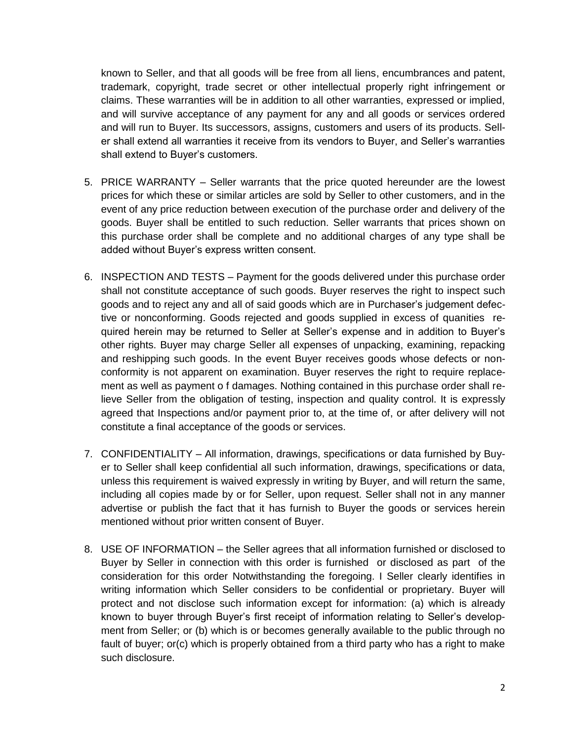known to Seller, and that all goods will be free from all liens, encumbrances and patent, trademark, copyright, trade secret or other intellectual properly right infringement or claims. These warranties will be in addition to all other warranties, expressed or implied, and will survive acceptance of any payment for any and all goods or services ordered and will run to Buyer. Its successors, assigns, customers and users of its products. Seller shall extend all warranties it receive from its vendors to Buyer, and Seller's warranties shall extend to Buyer's customers.

- 5. PRICE WARRANTY Seller warrants that the price quoted hereunder are the lowest prices for which these or similar articles are sold by Seller to other customers, and in the event of any price reduction between execution of the purchase order and delivery of the goods. Buyer shall be entitled to such reduction. Seller warrants that prices shown on this purchase order shall be complete and no additional charges of any type shall be added without Buyer's express written consent.
- 6. INSPECTION AND TESTS Payment for the goods delivered under this purchase order shall not constitute acceptance of such goods. Buyer reserves the right to inspect such goods and to reject any and all of said goods which are in Purchaser's judgement defective or nonconforming. Goods rejected and goods supplied in excess of quanities required herein may be returned to Seller at Seller's expense and in addition to Buyer's other rights. Buyer may charge Seller all expenses of unpacking, examining, repacking and reshipping such goods. In the event Buyer receives goods whose defects or nonconformity is not apparent on examination. Buyer reserves the right to require replacement as well as payment o f damages. Nothing contained in this purchase order shall relieve Seller from the obligation of testing, inspection and quality control. It is expressly agreed that Inspections and/or payment prior to, at the time of, or after delivery will not constitute a final acceptance of the goods or services.
- 7. CONFIDENTIALITY All information, drawings, specifications or data furnished by Buyer to Seller shall keep confidential all such information, drawings, specifications or data, unless this requirement is waived expressly in writing by Buyer, and will return the same, including all copies made by or for Seller, upon request. Seller shall not in any manner advertise or publish the fact that it has furnish to Buyer the goods or services herein mentioned without prior written consent of Buyer.
- 8. USE OF INFORMATION the Seller agrees that all information furnished or disclosed to Buyer by Seller in connection with this order is furnished or disclosed as part of the consideration for this order Notwithstanding the foregoing. I Seller clearly identifies in writing information which Seller considers to be confidential or proprietary. Buyer will protect and not disclose such information except for information: (a) which is already known to buyer through Buyer's first receipt of information relating to Seller's development from Seller; or (b) which is or becomes generally available to the public through no fault of buyer; or(c) which is properly obtained from a third party who has a right to make such disclosure.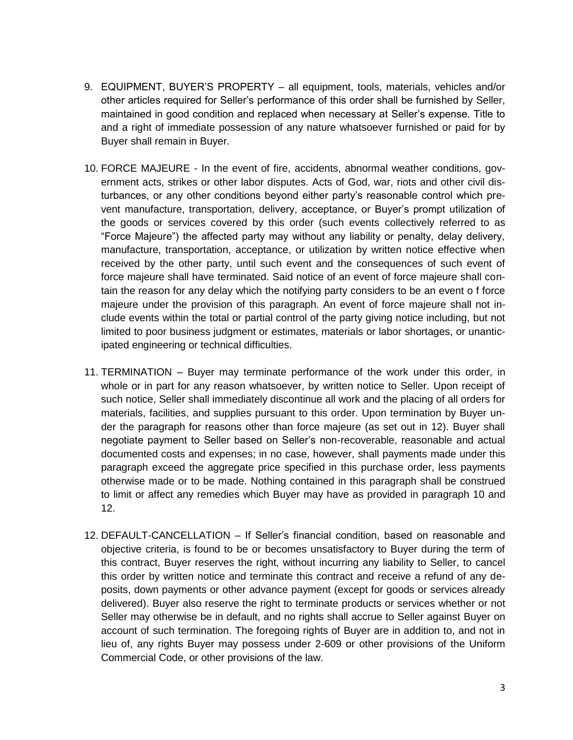- 9. EQUIPMENT, BUYER'S PROPERTY all equipment, tools, materials, vehicles and/or other articles required for Seller's performance of this order shall be furnished by Seller, maintained in good condition and replaced when necessary at Seller's expense. Title to and a right of immediate possession of any nature whatsoever furnished or paid for by Buyer shall remain in Buyer.
- 10. FORCE MAJEURE In the event of fire, accidents, abnormal weather conditions, government acts, strikes or other labor disputes. Acts of God, war, riots and other civil disturbances, or any other conditions beyond either party's reasonable control which prevent manufacture, transportation, delivery, acceptance, or Buyer's prompt utilization of the goods or services covered by this order (such events collectively referred to as "Force Majeure") the affected party may without any liability or penalty, delay delivery, manufacture, transportation, acceptance, or utilization by written notice effective when received by the other party, until such event and the consequences of such event of force majeure shall have terminated. Said notice of an event of force majeure shall contain the reason for any delay which the notifying party considers to be an event o f force majeure under the provision of this paragraph. An event of force majeure shall not include events within the total or partial control of the party giving notice including, but not limited to poor business judgment or estimates, materials or labor shortages, or unanticipated engineering or technical difficulties.
- 11. TERMINATION Buyer may terminate performance of the work under this order, in whole or in part for any reason whatsoever, by written notice to Seller. Upon receipt of such notice, Seller shall immediately discontinue all work and the placing of all orders for materials, facilities, and supplies pursuant to this order. Upon termination by Buyer under the paragraph for reasons other than force majeure (as set out in 12). Buyer shall negotiate payment to Seller based on Seller's non-recoverable, reasonable and actual documented costs and expenses; in no case, however, shall payments made under this paragraph exceed the aggregate price specified in this purchase order, less payments otherwise made or to be made. Nothing contained in this paragraph shall be construed to limit or affect any remedies which Buyer may have as provided in paragraph 10 and 12.
- 12. DEFAULT-CANCELLATION If Seller's financial condition, based on reasonable and objective criteria, is found to be or becomes unsatisfactory to Buyer during the term of this contract, Buyer reserves the right, without incurring any liability to Seller, to cancel this order by written notice and terminate this contract and receive a refund of any deposits, down payments or other advance payment (except for goods or services already delivered). Buyer also reserve the right to terminate products or services whether or not Seller may otherwise be in default, and no rights shall accrue to Seller against Buyer on account of such termination. The foregoing rights of Buyer are in addition to, and not in lieu of, any rights Buyer may possess under 2-609 or other provisions of the Uniform Commercial Code, or other provisions of the law.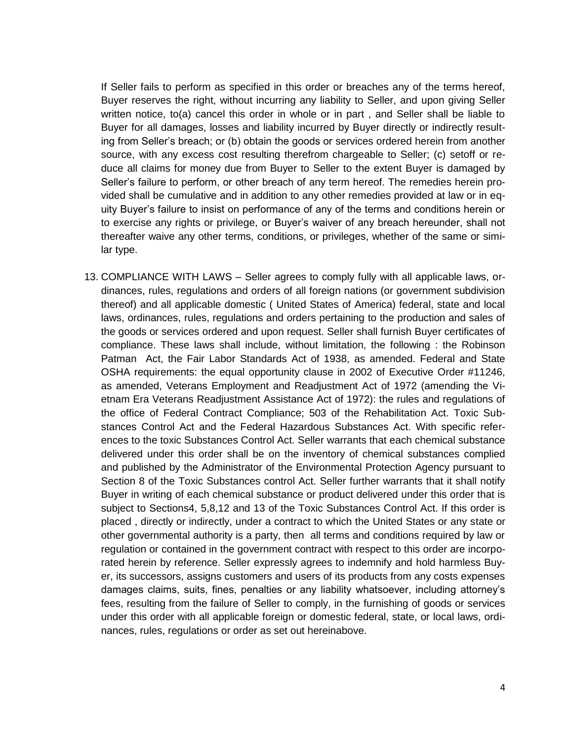If Seller fails to perform as specified in this order or breaches any of the terms hereof, Buyer reserves the right, without incurring any liability to Seller, and upon giving Seller written notice, to(a) cancel this order in whole or in part , and Seller shall be liable to Buyer for all damages, losses and liability incurred by Buyer directly or indirectly resulting from Seller's breach; or (b) obtain the goods or services ordered herein from another source, with any excess cost resulting therefrom chargeable to Seller; (c) setoff or reduce all claims for money due from Buyer to Seller to the extent Buyer is damaged by Seller's failure to perform, or other breach of any term hereof. The remedies herein provided shall be cumulative and in addition to any other remedies provided at law or in equity Buyer's failure to insist on performance of any of the terms and conditions herein or to exercise any rights or privilege, or Buyer's waiver of any breach hereunder, shall not thereafter waive any other terms, conditions, or privileges, whether of the same or similar type.

13. COMPLIANCE WITH LAWS – Seller agrees to comply fully with all applicable laws, ordinances, rules, regulations and orders of all foreign nations (or government subdivision thereof) and all applicable domestic ( United States of America) federal, state and local laws, ordinances, rules, regulations and orders pertaining to the production and sales of the goods or services ordered and upon request. Seller shall furnish Buyer certificates of compliance. These laws shall include, without limitation, the following : the Robinson Patman Act, the Fair Labor Standards Act of 1938, as amended. Federal and State OSHA requirements: the equal opportunity clause in 2002 of Executive Order #11246, as amended, Veterans Employment and Readjustment Act of 1972 (amending the Vietnam Era Veterans Readjustment Assistance Act of 1972): the rules and regulations of the office of Federal Contract Compliance; 503 of the Rehabilitation Act. Toxic Substances Control Act and the Federal Hazardous Substances Act. With specific references to the toxic Substances Control Act. Seller warrants that each chemical substance delivered under this order shall be on the inventory of chemical substances complied and published by the Administrator of the Environmental Protection Agency pursuant to Section 8 of the Toxic Substances control Act. Seller further warrants that it shall notify Buyer in writing of each chemical substance or product delivered under this order that is subject to Sections4, 5,8,12 and 13 of the Toxic Substances Control Act. If this order is placed , directly or indirectly, under a contract to which the United States or any state or other governmental authority is a party, then all terms and conditions required by law or regulation or contained in the government contract with respect to this order are incorporated herein by reference. Seller expressly agrees to indemnify and hold harmless Buyer, its successors, assigns customers and users of its products from any costs expenses damages claims, suits, fines, penalties or any liability whatsoever, including attorney's fees, resulting from the failure of Seller to comply, in the furnishing of goods or services under this order with all applicable foreign or domestic federal, state, or local laws, ordinances, rules, regulations or order as set out hereinabove.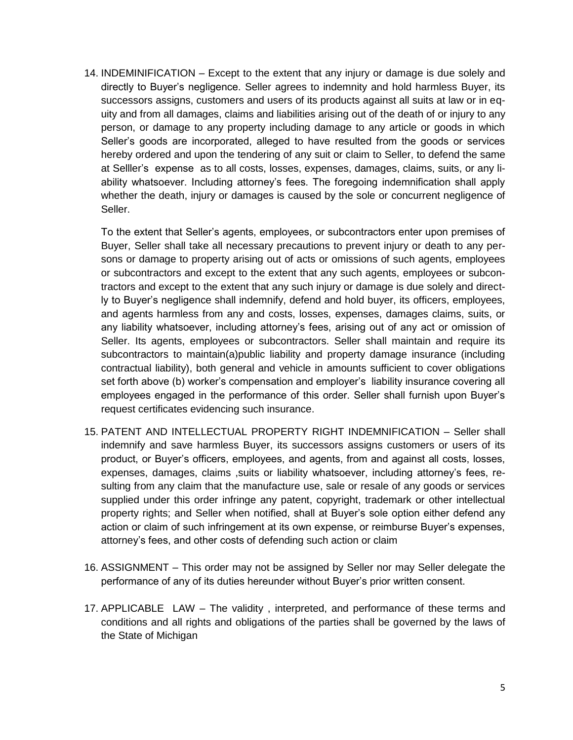14. INDEMINIFICATION – Except to the extent that any injury or damage is due solely and directly to Buyer's negligence. Seller agrees to indemnity and hold harmless Buyer, its successors assigns, customers and users of its products against all suits at law or in equity and from all damages, claims and liabilities arising out of the death of or injury to any person, or damage to any property including damage to any article or goods in which Seller's goods are incorporated, alleged to have resulted from the goods or services hereby ordered and upon the tendering of any suit or claim to Seller, to defend the same at Selller's expense as to all costs, losses, expenses, damages, claims, suits, or any liability whatsoever. Including attorney's fees. The foregoing indemnification shall apply whether the death, injury or damages is caused by the sole or concurrent negligence of Seller.

To the extent that Seller's agents, employees, or subcontractors enter upon premises of Buyer, Seller shall take all necessary precautions to prevent injury or death to any persons or damage to property arising out of acts or omissions of such agents, employees or subcontractors and except to the extent that any such agents, employees or subcontractors and except to the extent that any such injury or damage is due solely and directly to Buyer's negligence shall indemnify, defend and hold buyer, its officers, employees, and agents harmless from any and costs, losses, expenses, damages claims, suits, or any liability whatsoever, including attorney's fees, arising out of any act or omission of Seller. Its agents, employees or subcontractors. Seller shall maintain and require its subcontractors to maintain(a)public liability and property damage insurance (including contractual liability), both general and vehicle in amounts sufficient to cover obligations set forth above (b) worker's compensation and employer's liability insurance covering all employees engaged in the performance of this order. Seller shall furnish upon Buyer's request certificates evidencing such insurance.

- 15. PATENT AND INTELLECTUAL PROPERTY RIGHT INDEMNIFICATION Seller shall indemnify and save harmless Buyer, its successors assigns customers or users of its product, or Buyer's officers, employees, and agents, from and against all costs, losses, expenses, damages, claims ,suits or liability whatsoever, including attorney's fees, resulting from any claim that the manufacture use, sale or resale of any goods or services supplied under this order infringe any patent, copyright, trademark or other intellectual property rights; and Seller when notified, shall at Buyer's sole option either defend any action or claim of such infringement at its own expense, or reimburse Buyer's expenses, attorney's fees, and other costs of defending such action or claim
- 16. ASSIGNMENT This order may not be assigned by Seller nor may Seller delegate the performance of any of its duties hereunder without Buyer's prior written consent.
- 17. APPLICABLE LAW The validity , interpreted, and performance of these terms and conditions and all rights and obligations of the parties shall be governed by the laws of the State of Michigan